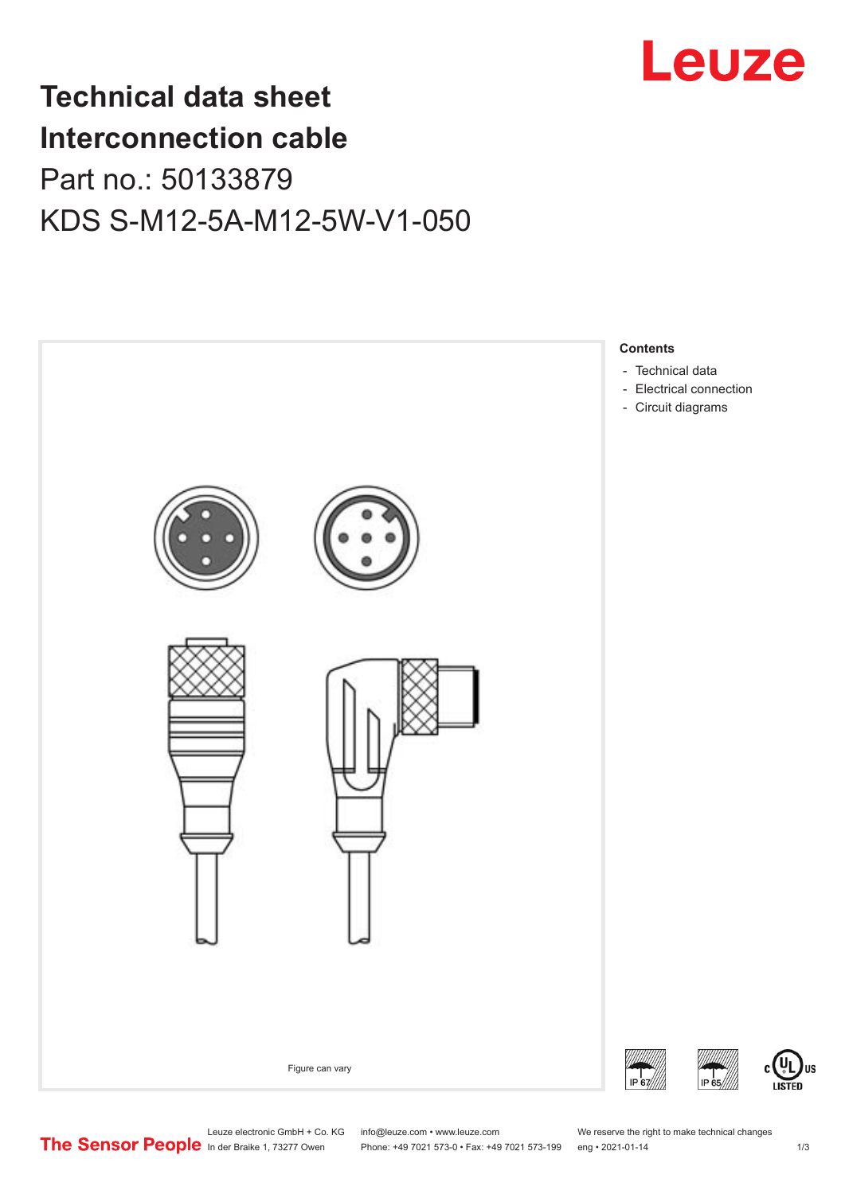

# **Technical data sheet Interconnection cable** Part no.: 50133879 KDS S-M12-5A-M12-5W-V1-050



Leuze electronic GmbH + Co. KG info@leuze.com • www.leuze.com We reserve the right to make technical changes<br>
The Sensor People in der Braike 1, 73277 Owen Phone: +49 7021 573-0 • Fax: +49 7021 573-199 eng • 2021-01-14

Phone: +49 7021 573-0 • Fax: +49 7021 573-199 eng • 2021-01-14 1 73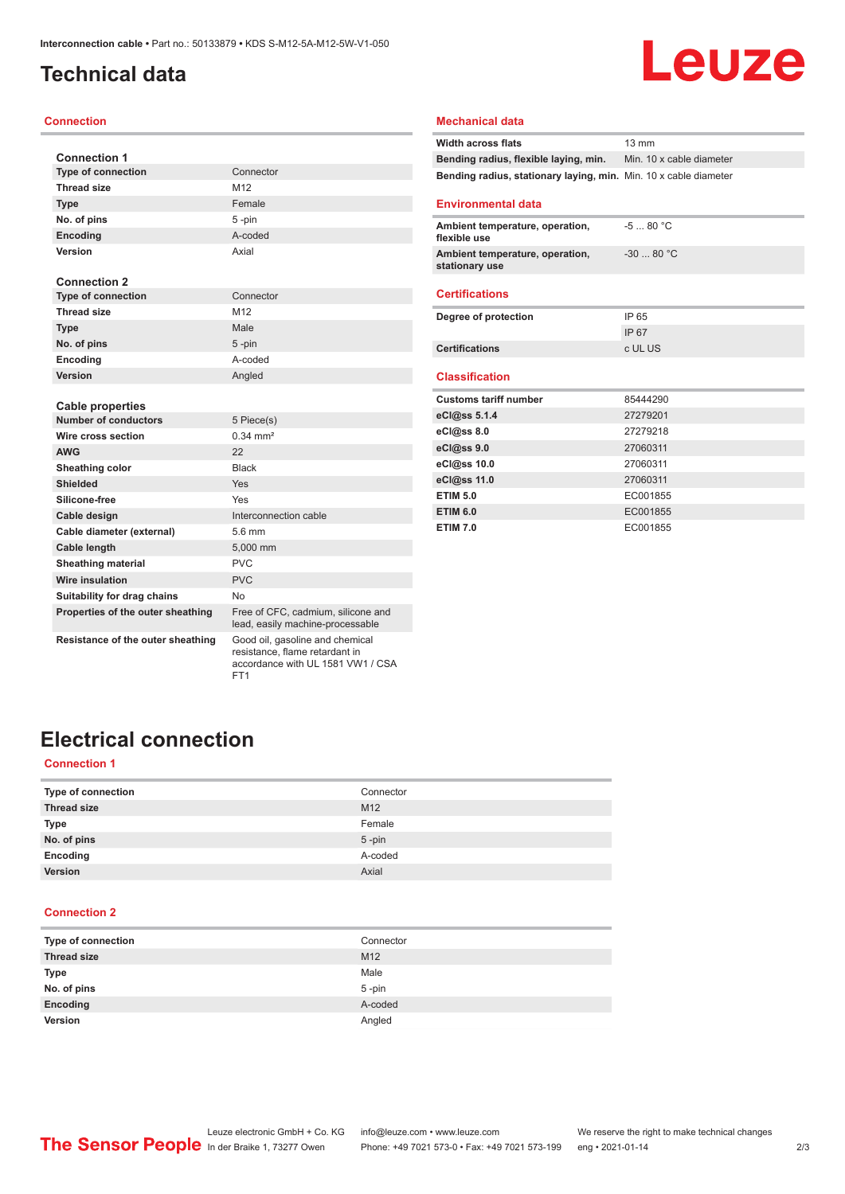# <span id="page-1-0"></span>**Technical data**

### **Connection**

| <b>Connection 1</b>               |                                                                        |
|-----------------------------------|------------------------------------------------------------------------|
| <b>Type of connection</b>         | Connector                                                              |
| <b>Thread size</b>                | M12                                                                    |
| <b>Type</b>                       | Female                                                                 |
| No. of pins                       | 5-pin                                                                  |
| Encoding                          | A-coded                                                                |
| Version                           | Axial                                                                  |
|                                   |                                                                        |
| <b>Connection 2</b>               |                                                                        |
| <b>Type of connection</b>         | Connector                                                              |
| Thread size                       | M12                                                                    |
| <b>Type</b>                       | Male                                                                   |
| No. of pins                       | $5 - pin$                                                              |
| Encoding                          | A-coded                                                                |
| Version                           | Angled                                                                 |
|                                   |                                                                        |
| <b>Cable properties</b>           |                                                                        |
| <b>Number of conductors</b>       | 5 Piece(s)                                                             |
| Wire cross section                | $0.34 \, \text{mm}^2$                                                  |
| <b>AWG</b>                        | 22                                                                     |
| Sheathing color                   | <b>Black</b>                                                           |
| <b>Shielded</b>                   | Yes                                                                    |
| Silicone-free                     | Yes                                                                    |
| Cable design                      | Interconnection cable                                                  |
| Cable diameter (external)         | 5.6 mm                                                                 |
| <b>Cable length</b>               | 5,000 mm                                                               |
| <b>Sheathing material</b>         | <b>PVC</b>                                                             |
| <b>Wire insulation</b>            | <b>PVC</b>                                                             |
| Suitability for drag chains       | No.                                                                    |
| Properties of the outer sheathing | Free of CFC, cadmium, silicone and<br>lead, easily machine-processable |

### **Mechanical data**

| <b>Width across flats</b>                                        | $13 \text{ mm}$          |
|------------------------------------------------------------------|--------------------------|
| Bending radius, flexible laying, min.                            | Min. 10 x cable diameter |
| Bending radius, stationary laying, min. Min. 10 x cable diameter |                          |
|                                                                  |                          |
| <b>Environmental data</b>                                        |                          |
| Ambient temperature, operation,<br>flexible use                  | $-580 °C$                |
| Ambient temperature, operation,<br>stationary use                | $-30$ 80 °C              |
| <b>Certifications</b>                                            |                          |
|                                                                  |                          |
| Degree of protection                                             | IP 65                    |
|                                                                  | <b>IP67</b>              |
| <b>Certifications</b>                                            | c UL US                  |
|                                                                  |                          |
| <b>Classification</b>                                            |                          |
| <b>Customs tariff number</b>                                     | 85444290                 |
| eCl@ss 5.1.4                                                     | 27279201                 |
| $eC/\omega$ ss 8.0                                               | 27279218                 |
| eCl@ss 9.0                                                       | 27060311                 |
| eCl@ss 10.0                                                      | 27060311                 |
| eCl@ss 11.0                                                      | 27060311                 |
| <b>ETIM 5.0</b>                                                  | EC001855                 |
| <b>ETIM 6.0</b>                                                  | EC001855                 |
| <b>ETIM 7.0</b>                                                  | EC001855                 |

Leuze

### **Resistance of the outer sheathing** Good oil, gasoline and chemical

resistance, flame retardant in accordance with UL 1581 VW1 / CSA FT1

# **Electrical connection**

### **Connection 1**

| Type of connection | Connector       |
|--------------------|-----------------|
| <b>Thread size</b> | M <sub>12</sub> |
| Type               | Female          |
| No. of pins        | $5$ -pin        |
| Encoding           | A-coded         |
| Version            | Axial           |
|                    |                 |

### **Connection 2**

| Type of connection | Connector       |
|--------------------|-----------------|
| <b>Thread size</b> | M <sub>12</sub> |
| <b>Type</b>        | Male            |
| No. of pins        | $5$ -pin        |
| Encoding           | A-coded         |
| Version            | Angled          |